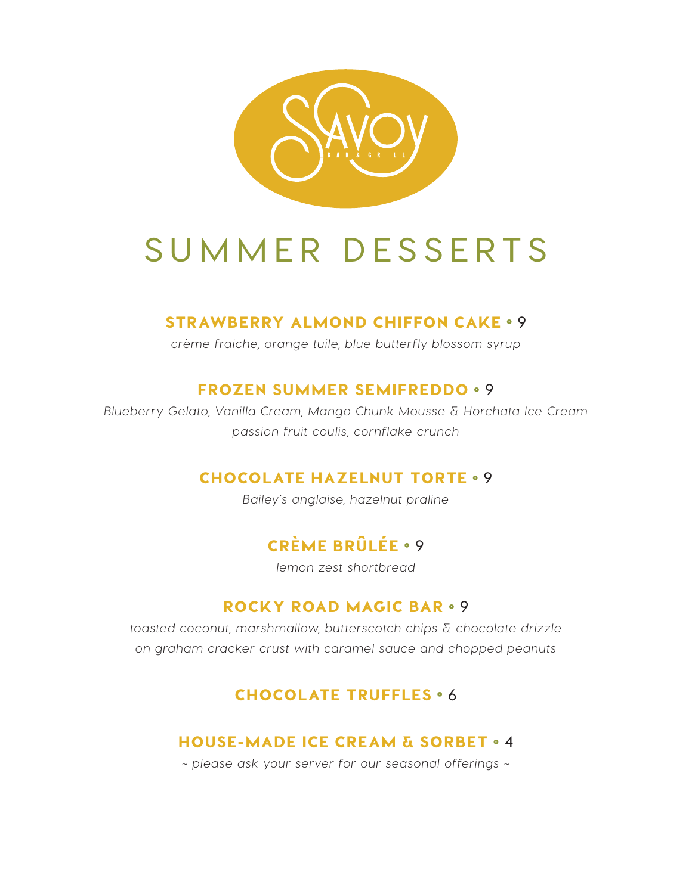

# **SUMMER DESSERTS**

#### STRAWBERRY ALMOND CHIFFON CAKE ° **9**

*crème fraiche, orange tuile, blue butterfly blossom syrup*

#### FROZEN SUMMER SEMIFREDDO ° **9**

*Blueberry Gelato, Vanilla Cream, Mango Chunk Mousse & Horchata Ice Cream passion fruit coulis, cornflake crunch*

#### CHOCOLATE HAZELNUT TORTE ° **9**

*Bailey's anglaise, hazelnut praline*

### CRÈME BRÛLÉE ° **9**

*lemon zest shortbread*

#### ROCKY ROAD MAGIC BAR ° **9**

*toasted coconut, marshmallow, butterscotch chips & chocolate drizzle on graham cracker crust with caramel sauce and chopped peanuts*

#### CHOCOLATE TRUFFLES ° **6**

#### HOUSE-MADE ICE CREAM & SORBET ° **4**

*~ please ask your server for our seasonal offerings ~*